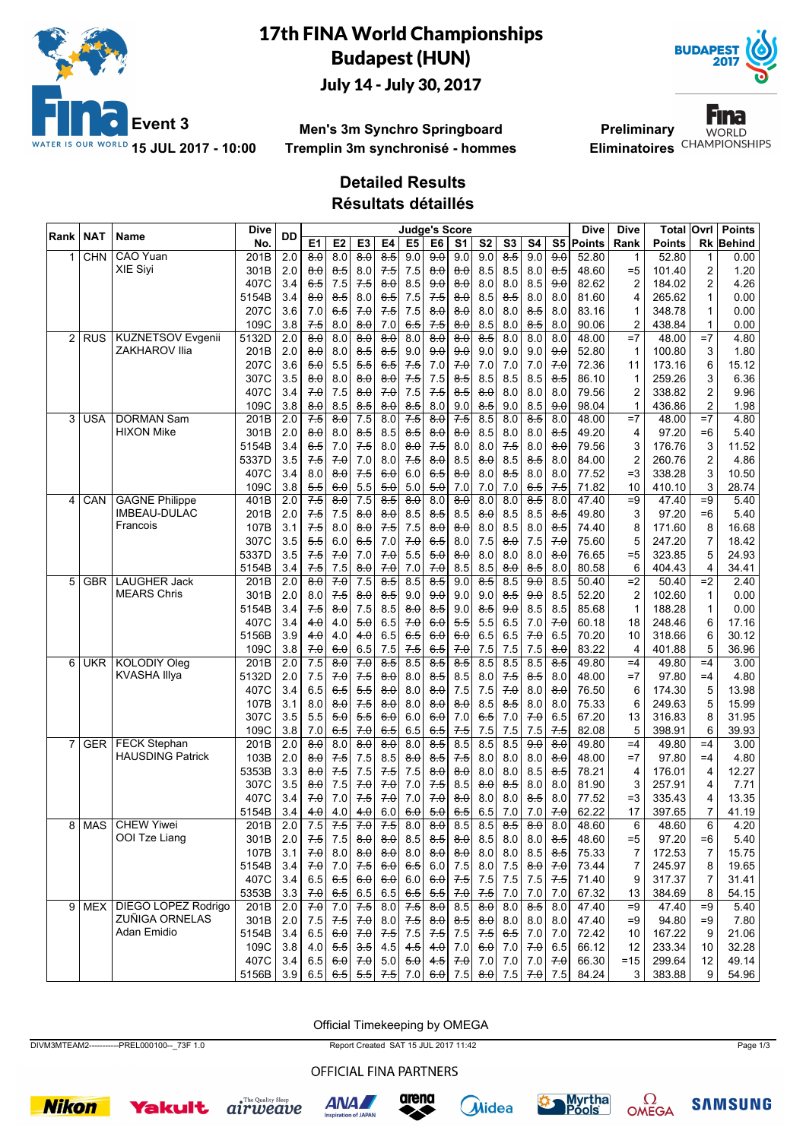

# 17th FINA World Championships Budapest (HUN) July 14 - July 30, 2017



**Men's 3m Synchro Springboard Tremplin 3m synchronisé - hommes**

**Preliminary** Eliminatoires<sup>CHAMPIONSHIPS</sup>



### **Detailed Results**

**Résultats détaillés**

| Rank           | <b>NAT</b> | Name                                       | Dive          | <b>DD</b>        | <b>Judge's Score</b> |                     |                     |                     |                     |                     |                     |                     |                     |                  |                     | Dive           | Dive            | Total            | Ovrl            | <b>Points</b> |
|----------------|------------|--------------------------------------------|---------------|------------------|----------------------|---------------------|---------------------|---------------------|---------------------|---------------------|---------------------|---------------------|---------------------|------------------|---------------------|----------------|-----------------|------------------|-----------------|---------------|
|                |            |                                            | No.           |                  | E <sub>1</sub>       | E <sub>2</sub>      | E <sub>3</sub>      | E4                  | E <sub>5</sub>      | E6                  | S <sub>1</sub>      | S <sub>2</sub>      | S <sub>3</sub>      | S4               |                     | S5 Points      | Rank            | <b>Points</b>    | Rk              | Behind        |
| 1              | <b>CHN</b> | CAO Yuan                                   | 201B          | 2.0              | $\overline{8.0}$     | 8.0                 | $\overline{8.0}$    | $\overline{8.5}$    | 9.0                 | $\overline{9.0}$    | 9.0                 | 9.0                 | $\overline{8.5}$    | 9.0              | $\overline{9.0}$    | 52.80          | 1               | 52.80            | 1               | 0.00          |
|                |            | <b>XIE Sivi</b>                            | 301B          | 2.0              | $\theta$ . $\theta$  | 8.5                 | 8.0                 | 75                  | 7.5                 | $\theta$ . $\theta$ | 8.0                 | 8.5                 | 8.5                 | 8.0              | 8.5                 | 48.60          | $= 5$           | 101.40           | 2               | 1.20          |
|                |            |                                            | 407C          | 3.4              | 6.5                  | 7.5                 | 7.5                 | 8.0                 | 8.5                 | 9.0                 | 8.0                 | 8.0                 | 8.0                 | 8.5              | 9.0                 | 82.62          | 2               | 184.02           | 2               | 4.26          |
|                |            |                                            | 5154B         | 3.4              | $\theta$ . $\theta$  | 8.5                 | 8.0                 | 6.5                 | 7.5                 | 7.5                 | 8.0                 | 8.5                 | 8.5                 | 8.0              | 8.0                 | 81.60          | 4               | 265.62           | 1               | 0.00          |
|                |            |                                            | 207C          | 3.6              | 7.0                  | 65                  | 70                  | 75                  | 7.5                 | $\theta$ . $\theta$ | $\theta$ . $\theta$ | 8.0                 | 8.0                 | 8.5              | 8.0                 | 83.16          | 1               | 348.78           | 1               | 0.00          |
|                |            |                                            | 109C          | 3.8              | 7.5                  | 8.0                 | 8.0                 | 7.0                 | 6.5                 | 7.5                 | 8.0                 | 8.5                 | 8.0                 | 8.5              | 8.0                 | 90.06          | 2               | 438.84           | 1               | 0.00          |
| $\overline{2}$ | <b>RUS</b> | <b>KUZNETSOV Evgenii</b>                   | 5132D         | $\overline{2.0}$ | $\overline{8.0}$     | 8.0                 | $\overline{8.0}$    | $\overline{8.0}$    | 8.0                 | $\overline{8.0}$    | $\overline{8.0}$    | $\overline{8.5}$    | 8.0                 | 8.0              | 8.0                 | 48.00          | $=7$            | 48.00            | $=7$            | 4.80          |
|                |            | ZAKHAROV Ilia                              | 201B          | 2.0              | $\theta$ $\theta$    | 8.0                 | $8-5$               | 8.5                 | 9.0                 | 9.0                 | 9.0                 | 9.0                 | 9.0                 | 9.0              | 9.0                 | 52.80          | 1               | 100.80           | 3               | 1.80          |
|                |            |                                            | 207C          | 3.6              | 5.0                  | 5.5                 | 5.5                 | 6.5                 | 7.5                 | 7.0                 | 7.0                 | 7.0                 | 7.0                 | 7.0              | 7.0                 | 72.36          | 11              | 173.16           | 6               | 15.12         |
|                |            |                                            | 307C          | 3.5              | 8.0                  | 8.0                 | 8.0                 | 8.0                 | 7.5                 | 7.5                 | 8.5                 | 8.5                 | 8.5                 | 8.5              | 8.5                 | 86.10          | 1               | 259.26           | 3               | 6.36          |
|                |            |                                            | 407C          | 3.4              | 7.0                  | 7.5                 | $\theta$ . $\theta$ | 70                  | 7.5                 | 7.5                 | $8-5$               | $\theta$ . $\theta$ | 8.0                 | 8.0              | 8.0                 | 79.56          | $\overline{c}$  | 338.82           | $\overline{2}$  | 9.96          |
|                |            |                                            | 109C          | 3.8              | 8.0                  | 8.5                 | 8.5                 | 8.0                 | 8.5                 | 8.0                 | 9.0                 | 8.5                 | 9.0                 | 8.5              | 9.0                 | 98.04          | 1               | 436.86           | $\overline{c}$  | 1.98          |
| 3              | <b>USA</b> | <b>DORMAN Sam</b>                          | 201B          | $\overline{2.0}$ | $7-5$                | $\overline{8.0}$    | $\overline{7.5}$    | 8.0                 | 7.5                 | $\overline{8.0}$    | $7-5$               | 8.5                 | 8.0                 | $\overline{8.5}$ | 8.0                 | 48.00          | $=7$            | 48.00            | $=7$            | 4.80          |
|                |            | <b>HIXON Mike</b>                          | 301B          | 2.0              | $\theta$ $\theta$    | 8.0                 | 8.5                 | 8.5                 | 85                  | 8.0                 | 8.0                 | 8.5                 | 8.0                 | 8.0              | 8.5                 | 49.20          | 4               | 97.20            | $=6$            | 5.40          |
|                |            |                                            | 5154B         | 3.4              | 6.5                  | 7.0                 | $7-5$               | 8.0                 | 8.0                 | 7.5                 | 8.0                 | 8.0                 | $7-5$               | 8.0              | 8.0                 | 79.56          | 3               | 176.76           | 3               | 11.52         |
|                |            |                                            | 5337D         | 3.5              | $7-5$                | 7.0                 | 7.0                 | 8.0                 | 7.5                 | 8.0                 | 8.5                 | 8.0                 | 8.5                 | 8.5              | 8.0                 | 84.00          | 2               | 260.76           | $\overline{2}$  | 4.86          |
|                |            |                                            | 407C          | 3.4              | 8.0                  | $\theta$ . $\theta$ | 7.5                 | 6.0                 | 6.0                 | 65                  | 8.0                 | 8.0                 | ୫ 5                 | 8.0              | 8.0                 | 77.52          | $=3$            | 338.28           | 3               | 10.50         |
|                |            |                                            | 109C          | 3.8              | 5.5                  | 6.0                 | 5.5                 | 5.0                 | 5.0                 | 5.0                 | 7.0                 | 7.0                 | 7.0                 | 6.5              | 7.5                 | 71.82          | 10              | 410.10           | 3               | 28.74         |
| 4              | CAN        | <b>GAGNE Philippe</b>                      | 401B          | 2.0              | 7.5                  | $\overline{8.0}$    | 7.5                 | $\overline{8.5}$    | $\overline{80}$     | 8.0                 | $\overline{8.0}$    | $\overline{8.0}$    | 8.0                 | $\overline{8.5}$ | $\overline{8.0}$    | 47.40          | $\overline{=9}$ | 47.40            | $\overline{=9}$ | 5.40          |
|                |            | <b>IMBEAU-DULAC</b><br>Francois            | 201B          | 2.0              | 75                   | 7.5                 | $\theta$ . $\theta$ | $\theta$ . $\theta$ | 8.5                 | 8.5                 | 8.5                 | $\theta$ . $\theta$ | 8.5                 | 8.5              | 8.5                 | 49.80          | 3               | 97.20            | $=6$            | 5.40          |
|                |            |                                            | 107B          | 3.1              | 7.5                  | 8.0                 | 8.0                 | 7.5                 | 7.5                 | 8.0                 | 8.0                 | 8.0                 | 8.5                 | 8.0              | 8.5                 | 74.40          | 8               | 171.60           | 8               | 16.68         |
|                |            |                                            | 307C          | 3.5              | 5.5                  | 6.0                 | 6.5                 | 7.0                 | 7.0                 | 6.5                 | 8.0                 | 7.5                 | $\theta$ . $\theta$ | 7.5              | 70                  | 75.60          | 5               | 247.20           | $\overline{7}$  | 18.42         |
|                |            |                                            | 5337D         | 3.5              | 75                   | 70                  | 7.0                 | 70                  | 5.5                 | 5.0                 | 8.0                 | 8.0                 | 8.0                 | 8.0              | $\theta$ . $\theta$ | 76.65          | $= 5$           | 323.85           | 5               | 24.93         |
|                |            |                                            | 5154B         | 3.4              | 7.5                  | 7.5                 | 8.0                 | 7.0                 | 7.0                 | 7.0                 | 8.5                 | 8.5                 | 8.0                 | 8.5              | 8.0                 | 80.58          | 6               | 404.43           | 4               | 34.41         |
| 5              | <b>GBR</b> | <b>LAUGHER Jack</b>                        | 201B          | 2.0              | $\overline{8.0}$     | 70                  | $\overline{7.5}$    | $\overline{8.5}$    | 8.5                 | $\overline{8.5}$    | 9.0                 | 8.5                 | 8.5                 | 9.0              | 8.5                 | 50.40          | $=2$            | 50.40            | $\overline{=2}$ | 2.40          |
|                |            | <b>MEARS Chris</b>                         | 301B          | 2.0              | 8.0                  | 75                  | 8.0                 | 8.5                 | 9.0                 | 9.0                 | 9.0                 | 9.0                 | <del>8.5</del>      | 9.0              | 8.5                 | 52.20          | 2               | 102.60           | 1               | 0.00          |
|                |            |                                            | 5154B         | 3.4              | 7.5                  | 8.0                 | 7.5                 | 8.5                 | 8.0                 | 8.5                 | 9.0                 | 8.5                 | 9.0                 | 8.5              | 8.5                 | 85.68          | 1               | 188.28           | 1               | 0.00          |
|                |            |                                            | 407C          | 3.4              | 4.0                  | 4.0                 | 5.0                 | 6.5                 | 7.0                 | 6.0                 | 5.5                 | 5.5                 | 6.5                 | 7.0              | 7.0                 | 60.18          | 18              | 248.46           | 6               | 17.16         |
|                |            |                                            | 5156B         | 3.9              | 4.0                  | 4.0                 | 4.0                 | 6.5                 | 65                  | 6.0                 | 6.0                 | 6.5                 | 6.5                 | 7.0              | 6.5                 | 70.20          | 10              | 318.66           | 6               | 30.12         |
|                |            |                                            | 109C          | 3.8              | 70                   | 6.0                 | 6.5                 | 7.5                 | 7.5                 | 6.5                 | 7.0                 | 7.5                 | 7.5                 | 7.5              | 8.0                 | 83.22          | 4               | 401.88           | 5               | 36.96         |
| 6              | <b>UKR</b> | <b>KOLODIY Oleg</b><br><b>KVASHA Illya</b> | 201B          | $\overline{2.0}$ | 7.5                  | $\overline{8.0}$    | 70                  | 8.5                 | 8.5                 | 8.5                 | 8.5                 | 8.5                 | 8.5                 | 8.5              | $\overline{8.5}$    | 49.80          | $=4$            | 49.80            | $=4$            | 3.00          |
|                |            |                                            | 5132D<br>407C | 2.0<br>3.4       | 7.5                  | 70                  | 75<br>5.5           | 8.0<br>8.0          | 8.0<br>8.0          | $8-5$<br>8.0        | 8.5<br>7.5          | 8.0<br>7.5          | 75<br>70            | 8.5<br>8.0       | 8.0<br>8.0          | 48.00<br>76.50 | $=7$            | 97.80            | $=4$            | 4.80<br>13.98 |
|                |            |                                            | 107B          | 3.1              | 6.5                  | 6.5                 | 7.5                 | 8.0                 | 8.0                 | 8.0                 | 8.0                 | 8.5                 | 8.5                 | 8.0              | 8.0                 | 75.33          | 6<br>6          | 174.30<br>249.63 | 5<br>5          | 15.99         |
|                |            |                                            | 307C          | 3.5              | 8.0                  | 8.0                 |                     |                     |                     |                     |                     |                     |                     |                  |                     | 67.20          |                 | 316.83           | 8               | 31.95         |
|                |            |                                            | 109C          | 3.8              | 5.5<br>7.0           | 5.0<br>6.5          | 5.5<br>7.0          | 6.0<br>6.5          | 6.0<br>6.5          | 6.0<br>6.5          | 7.0<br>7.5          | 65<br>7.5           | 7.0<br>7.5          | 7.0<br>7.5       | 6.5<br>7.5          | 82.08          | 13<br>5         | 398.91           | 6               | 39.93         |
| 7              | <b>GER</b> | <b>FECK Stephan</b>                        | 201B          | $\overline{2.0}$ | $\overline{8.0}$     | 8.0                 | $\overline{8.0}$    | $\overline{8.0}$    | 8.0                 | 8.5                 | 8.5                 | 8.5                 | 8.5                 | 9.0              | 8.0                 | 49.80          | $=4$            | 49.80            | $=4$            | 3.00          |
|                |            | <b>HAUSDING Patrick</b>                    | 103B          | 2.0              | <del>8 0</del>       | 75                  | 7.5                 | 8.5                 | $\theta$ . $\theta$ | $8-5$               | 75                  | 8.0                 | 8.0                 | 8.0              | $\theta$ . $\theta$ | 48.00          | $=7$            | 97.80            | $=4$            | 4.80          |
|                |            |                                            | 5353B         | 3.3              | ୫.0                  | 7.5                 | 7.5                 | 7.5                 | 7.5                 | 8.0                 | 8.0                 | 8.0                 | 8.0                 | 8.5              | 8.5                 | 78.21          | 4               | 176.01           | 4               | 12.27         |
|                |            |                                            | 307C          | 3.5              | 8.0                  | 7.5                 | 70                  | 7.0                 | 7.0                 | 7.5                 | 8.5                 | 8.0                 | 8.5                 | 8.0              | 8.0                 | 81.90          | 3               | 257.91           | 4               | 7.71          |
|                |            |                                            | 407C          | 3.4              | 70                   | 7.0                 | 75                  | 70                  | 7.0                 | 70                  | 8.0                 | 8.0                 | 8.0                 | $8-5$            | 8.0                 | 77.52          | $=3$            | 335.43           | 4               | 13.35         |
|                |            |                                            | 5154B         | 3.4              | 4.0                  | 4.0                 | 4.0                 | 6.0                 | 6.0                 | 5.0                 | 6.5                 | 6.5                 | 7.0                 | 7.0              | 70                  | 62.22          | 17              | 397.65           | 7               | 41.19         |
| 8              | MAS        | <b>CHEW Yiwei</b>                          | 201B          | $\overline{2.0}$ | 7.5                  | $7-5$               | 70                  | $7-5$               | 8.0                 | $\overline{8.0}$    | 8.5                 | 8.5                 | 8.5                 | $\overline{8.0}$ | 8.0                 | 48.60          | 6               | 48.60            | 6               | 4.20          |
|                |            | OOI Tze Liang                              | 301B          | 2.0              | 7.5                  | 7.5                 |                     | $8.0$ $8.0$         |                     | $8.5$ $8.5$         | $\theta$ . $\theta$ |                     | $8.5$   $8.0$       | 8.0              | 8.5                 | 48.60          | $= 5$           | 97.20            | =6              | 5.40          |
|                |            |                                            | 107B          | 3.1              | 7.0                  | 8.0                 | $\theta$ . $\theta$ | $\theta$ $\theta$   |                     | $8.0 \,   \, 8.0$   | $\theta$ . $\theta$ | 8.0                 | 8.0                 | 8.5              | $8-5$               | 75.33          | 7               | 172.53           | 7               | 15.75         |
|                |            |                                            | 5154B         | 3.4              | 7.0                  | 7.0                 | 7.5                 | 6.0                 |                     | 6.5 6.0             | 7.5                 | 8.0                 | 7.5                 | 8.0              | 7.0                 | 73.44          | 7               | 245.97           | 8               | 19.65         |
|                |            |                                            | 407C          | 3.4              | 6.5                  | 6.5                 | 60                  | 60                  |                     | 6.0 6.0             | 7.5                 | 7.5                 | 7.5                 | 7.5              | $7-5$               | 71.40          | 9               | 317.37           | 7               | 31.41         |
|                |            |                                            | 5353B         | 3.3              | 7.0                  | 6.5                 | 6.5                 | 6.5                 | 6.5                 | 5.5                 | 7.0                 | 7.5                 | 7.0                 | 7.0              | 7.0                 | 67.32          | 13              | 384.69           | 8               | 54.15         |
| 9 <sup>1</sup> |            | MEX   DIEGO LOPEZ Rodrigo                  | 201B          | 2.0              | 70                   | 7.0                 | 7.5                 | 8.0                 | 7.5                 | 8.0                 | 8.5                 | $\overline{8.0}$    | 8.0                 | $\overline{8.5}$ | 8.0                 | 47.40          | $=9$            | 47.40            | $=9$            | 5.40          |
|                |            | ZUÑIGA ORNELAS                             | 301B          | 2.0              | 7.5                  | 7.5                 | 70                  | 8.0                 | 7.5                 | $8\theta$           | 8.5                 | $\theta$ . $\theta$ | 8.0                 | 8.0              | 8.0                 | 47.40          | $=9$            | 94.80            | =9              | 7.80          |
|                |            | Adan Emidio                                | 5154B         | 3.4              | 6.5                  | 6.0                 | 7.0                 | 7.5                 | 7.5                 | 7.5                 | 7.5                 | 7.5                 | 6.5                 | 7.0              | 7.0                 | 72.42          | 10              | 167.22           | 9               | 21.06         |
|                |            |                                            | 109C          | 3.8              | 4.0                  | 5.5                 | 3.5                 | 4.5                 | 4.5                 | 4.0                 | 7.0                 | 6.0                 | 7.0                 | 7.0              | 6.5                 | 66.12          | 12              | 233.34           | 10              | 32.28         |
|                |            |                                            | 407C          | 3.4              | 6.5                  | 6.0                 | 7.0                 | 5.0                 |                     | $5.0$ 4.5           | 7.0                 | 7.0                 | 7.0                 | 7.0              | 70                  | 66.30          | $=15$           | 299.64           | 12              | 49.14         |
|                |            |                                            | 5156B         | 3.9              |                      | 6.5 6.5             |                     | $5.5$ 7.5           |                     | 7.0 6.0 7.5         |                     |                     | $\theta.\theta$ 7.5 |                  | $7.0$ 7.5           | 84.24          | 3               | 383.88           | 9               | 54.96         |
|                |            |                                            |               |                  |                      |                     |                     |                     |                     |                     |                     |                     |                     |                  |                     |                |                 |                  |                 |               |

Official Timekeeping by OMEGA

DIVM3MTEAM2-----------PREL000100--\_73F 1.0 Report Created SAT 15 JUL 2017 11:42 Page 1/3

OFFICIAL FINA PARTNERS















**SAMSUNG**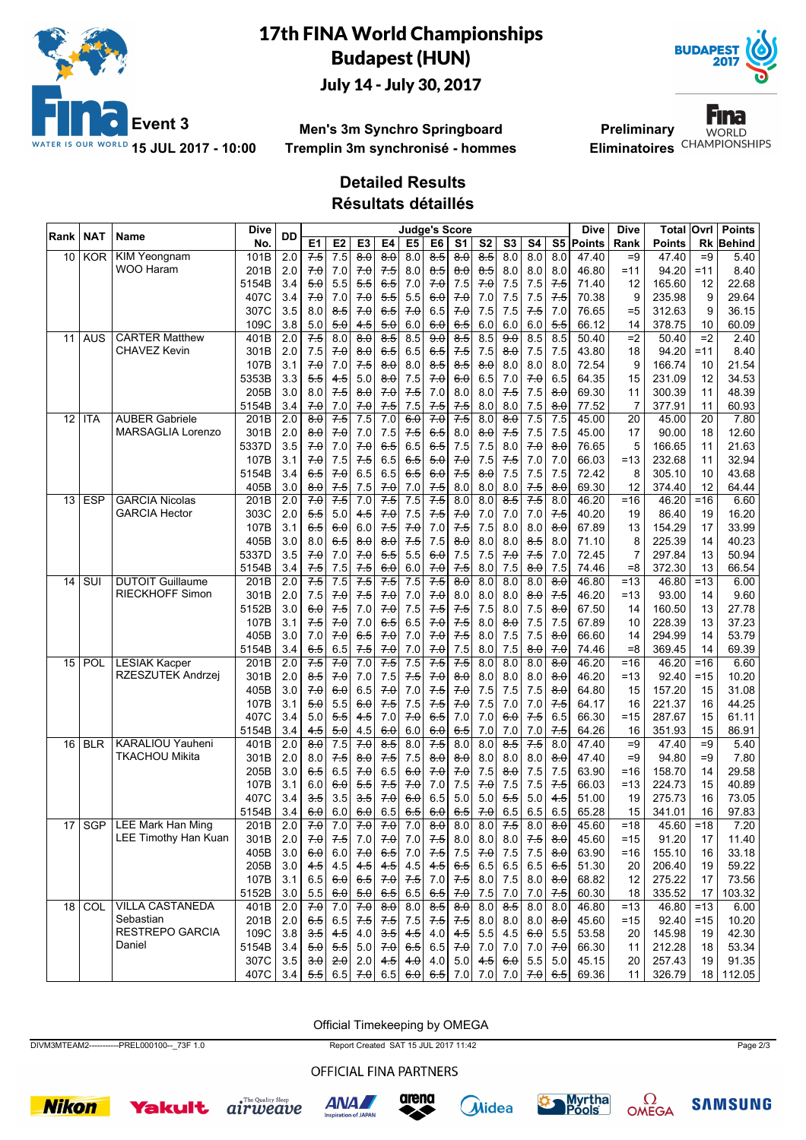

# 17th FINA World Championships Budapest (HUN) July 14 - July 30, 2017



**Men's 3m Synchro Springboard Tremplin 3m synchronisé - hommes**

**Preliminary** Eliminatoires<sup>CHAMPIONSHIPS</sup>

Fina **WORLD** 

### **Detailed Results**

**Résultats détaillés**

| Rank | <b>NAT</b>     | Name                     | Dive  | <b>DD</b>        |                     |                                                                                           |                     |                  | <b>Judge's Score</b> |                    |                  |                   |                     |                     |                     | Dive        | <b>Dive</b> | <b>Total Ovrl</b> |                 | <b>Points</b> |
|------|----------------|--------------------------|-------|------------------|---------------------|-------------------------------------------------------------------------------------------|---------------------|------------------|----------------------|--------------------|------------------|-------------------|---------------------|---------------------|---------------------|-------------|-------------|-------------------|-----------------|---------------|
|      |                |                          | No.   |                  | E <sub>1</sub>      | E <sub>2</sub>                                                                            | E <sub>3</sub>      | E4               | E <sub>5</sub>       | E <sub>6</sub>     | S <sub>1</sub>   | S <sub>2</sub>    | S <sub>3</sub>      | S4                  |                     | S5   Points | Rank        | <b>Points</b>     | Rk              | Behind        |
| 10   | <b>KOR</b>     | <b>KIM Yeongnam</b>      | 101B  | 2.0              | 7.5                 | $\overline{7.5}$                                                                          | $\overline{8.0}$    | 80               | 8.0                  | 8.5                | 80               | $8-5$             | 8.0                 | 8.0                 | 8.0                 | 47.40       | $=9$        | 47.40             | $=9$            | 5.40          |
|      |                | <b>WOO Haram</b>         | 201B  | 2.0              | 70                  | 7.0                                                                                       | 7.0                 | 7.5              | 8.0                  | 8.5                | 8.0              | 8.5               | 8.0                 | 8.0                 | 8.0                 | 46.80       | $=11$       | 94.20             | $=11$           | 8.40          |
|      |                |                          | 5154B | 3.4              | 5.0                 | 5.5                                                                                       | 5.5                 | 6.5              | 7.0                  | 70                 | 7.5              | 7.0               | 7.5                 | 7.5                 | 7.5                 | 71.40       | 12          | 165.60            | 12              | 22.68         |
|      |                |                          | 407C  | 3.4              | 7.0                 | 7.0                                                                                       | 7.0                 | 5.5              | 5.5                  | 6.0                | 70               | 7.0               | 7.5                 | 7.5                 | 7.5                 | 70.38       | 9           | 235.98            | 9               | 29.64         |
|      |                |                          | 307C  | 3.5              | 8.0                 | $8-5$                                                                                     | 70                  | 6.5              | 70                   | 6.5                | 7.0              | 7.5               | 7.5                 | 7.5                 | 7.0                 | 76.65       | $= 5$       | 312.63            | 9               | 36.15         |
|      |                |                          | 109C  | 3.8              | 5.0                 | 5.0                                                                                       | 4.5                 | 5.0              | 6.0                  | 6.0                | 6.5              | 6.0               | 6.0                 | 6.0                 | 5.5                 | 66.12       | 14          | 378.75            | 10              | 60.09         |
| 11   | <b>AUS</b>     | <b>CARTER Matthew</b>    | 401B  | $\overline{2.0}$ | 7.5                 | $\overline{8.0}$                                                                          | $\overline{8.0}$    | $\overline{8.5}$ | 8.5                  | $\overline{9.0}$   | $\overline{8.5}$ | 8.5               | 9.0                 | 8.5                 | 8.5                 | 50.40       | $=2$        | 50.40             | $\overline{=2}$ | 2.40          |
|      |                | <b>CHAVEZ Kevin</b>      | 301B  | 2.0              | 7.5                 | 70                                                                                        | $\theta$ . $\theta$ | 6.5              | 6.5                  | 6.5                | 7.5              | 7.5               | $\theta$ . $\theta$ | 7.5                 | 7.5                 | 43.80       | 18          | 94.20             | $=11$           | 8.40          |
|      |                |                          | 107B  | 3.1              | 70                  | 7.0                                                                                       | 7.5                 | 8.0              | 8.0                  | 8.5                | 8.5              | 8.0               | 8.0                 | 8.0                 | 8.0                 | 72.54       | 9           | 166.74            | 10              | 21.54         |
|      |                |                          | 5353B | 3.3              | 5.5                 | 4.5                                                                                       | 5.0                 | 8.0              | 7.5                  | 7.0                | 6.0              | 6.5               | 7.0                 | 7.0                 | 6.5                 | 64.35       | 15          | 231.09            | 12              | 34.53         |
|      |                |                          | 205B  | 3.0              | 8.0                 | 7.5                                                                                       | $\theta$ . $\theta$ | 70               | $7-5$                | 7.0                | 8.0              | 8.0               | 7.5                 | 7.5                 | 8.0                 | 69.30       | 11          | 300.39            | 11              | 48.39         |
|      |                |                          | 5154B | 3.4              | 7.0                 | 7.0                                                                                       | 7.0                 | 7.5              | 7.5                  | 7.5                | 7.5              | 8.0               | 8.0                 | 7.5                 | 8.0                 | 77.52       | 7           | 377.91            | 11              | 60.93         |
| 12   | <b>ITA</b>     | <b>AUBER Gabriele</b>    | 201B  | $\overline{2.0}$ | $\overline{80}$     | $7-5$                                                                                     | $\overline{7.5}$    | $\overline{7.0}$ | 6.0                  | 70                 | 7.5              | 8.0               | $\overline{8.0}$    | 7.5                 | 7.5                 | 45.00       | 20          | 45.00             | 20              | 7.80          |
|      |                | <b>MARSAGLIA Lorenzo</b> | 301B  | 2.0              | $\theta$ . $\theta$ | 70                                                                                        | 7.0                 | 7.5              | $7-5$                | 6.5                | 8.0              | $\theta$ $\theta$ | 7.5                 | 7.5                 | 7.5                 | 45.00       | 17          | 90.00             | 18              | 12.60         |
|      |                |                          | 5337D | 3.5              | 7.0                 | 7.0                                                                                       | 7.0                 | 6.5              | 6.5                  | 6.5                | 7.5              | 7.5               | 8.0                 | 7.0                 | 8.0                 | 76.65       | 5           | 166.65            | 11              | 21.63         |
|      |                |                          | 107B  | 3.1              | 7.0                 | 7.5                                                                                       | 7.5                 | 6.5              | $6-5$                | 5.0                | 7.0              | 7.5               | 7.5                 | 7.0                 | 7.0                 | 66.03       | $=13$       | 232.68            | 11              | 32.94         |
|      |                |                          | 5154B | 3.4              | 6.5                 | 70                                                                                        | 6.5                 | 6.5              | 6.5                  | 6.0                | 7.5              | $\theta$ $\theta$ | 7.5                 | 7.5                 | 7.5                 | 72.42       | 8           | 305.10            | 10              | 43.68         |
|      |                |                          | 405B  | 3.0              | 8.0                 | 7.5                                                                                       | 7.5                 | 7.0              | 7.0                  | 7.5                | 8.0              | 8.0               | 8.0                 | 7.5                 | 8.0                 | 69.30       | 12          | 374.40            | 12              | 64.44         |
| 13   | <b>ESP</b>     | <b>GARCIA Nicolas</b>    | 201B  | $\overline{2.0}$ | 70                  | 7.5                                                                                       | 7.0                 | 7.5              | 7.5                  | $7-5$              | 8.0              | 8.0               | $\overline{8.5}$    | 7.5                 | 8.0                 | 46.20       | $=16$       | 46.20             | $=16$           | 6.60          |
|      |                | <b>GARCIA Hector</b>     | 303C  | 2.0              | 5.5                 | 5.0                                                                                       | 4.5                 | 70               | 7.5                  | 7.5                | 7.0              | 7.0               | 7.0                 | 7.0                 | 7.5                 | 40.20       | 19          | 86.40             | 19              | 16.20         |
|      |                |                          | 107B  | 3.1              | 6.5                 | 6.0                                                                                       | 6.0                 | 7.5              | 7.0                  | 7.0                | 7.5              | 7.5               | 8.0                 | 8.0                 | 8.0                 | 67.89       | 13          | 154.29            | 17              | 33.99         |
|      |                |                          | 405B  | 3.0              | 8.0                 | 6.5                                                                                       | 8.0                 | 8.0              | 7.5                  | 7.5                | 8.0              | 8.0               | 8.0                 | 8.5                 | 8.0                 | 71.10       | 8           | 225.39            | 14              | 40.23         |
|      |                |                          | 5337D | 3.5              | 7.0                 | 7.0                                                                                       | 70                  | 5.5              | 5.5                  | 6.0                | 7.5              | 7.5               | 70                  | 7.5                 | 7.0                 | 72.45       | 7           | 297.84            | 13              | 50.94         |
|      |                |                          | 5154B | 3.4              | 7.5                 | 7.5                                                                                       | 7.5                 | 6.0              | 6.0                  | 7.0                | 7.5              | 8.0               | 7.5                 | 8.0                 | 7.5                 | 74.46       | $=8$        | 372.30            | 13              | 66.54         |
| 14   | $\overline{S}$ | <b>DUTOIT Guillaume</b>  | 201B  | 2.0              | 7.5                 | 7.5                                                                                       | 7.5                 | 7.5              | $\overline{7.5}$     | 7.5                | 8.0              | 8.0               | 8.0                 | 8.0                 | $\overline{8.0}$    | 46.80       | $=13$       | 46.80             | $=13$           | 6.00          |
|      |                | <b>RIECKHOFF Simon</b>   | 301B  | 2.0              | 7.5                 | 7.0                                                                                       | 7.5                 | 70               | 7.0                  | 70                 | 8.0              | 8.0               | 8.0                 | $\theta$ . $\theta$ | 7.5                 | 46.20       | $=13$       | 93.00             | 14              | 9.60          |
|      |                |                          | 5152B | 3.0              | 6.0                 | 7.5                                                                                       | 7.0                 | 7.0              | 7.5                  | 7.5                | 7.5              | 7.5               | 8.0                 | 7.5                 | 8.0                 | 67.50       | 14          | 160.50            | 13              | 27.78         |
|      |                |                          | 107B  | 3.1              | 7.5                 | 7.0                                                                                       | 7.0                 | 6.5              | 6.5                  | 70                 | 7.5              | 8.0               | 8.0                 | 7.5                 | 7.5                 | 67.89       | 10          | 228.39            | 13              | 37.23         |
|      |                |                          | 405B  | 3.0              | 7.0                 | 70                                                                                        | 6.5                 | 70               | 7.0                  | 70                 | 7.5              | 8.0               | 7.5                 | 7.5                 | $\theta$ . $\theta$ | 66.60       | 14          | 294.99            | 14              | 53.79         |
|      |                |                          | 5154B | 3.4              | 6.5                 | 6.5                                                                                       | 7.5                 | 7.0              | 7.0                  | 7.0                | 7.5              | 8.0               | 7.5                 | 8.0                 | 7.0                 | 74.46       | $=8$        | 369.45            | 14              | 69.39         |
| 15   | POL            | <b>LESIAK Kacper</b>     | 201B  | $\overline{2.0}$ | 7.5                 | 7.0                                                                                       | 7.0                 | 7.5              | 7.5                  | 7.5                | 7.5              | 8.0               | 8.0                 | 8.0                 | $\overline{8.0}$    | 46.20       | $=16$       | 46.20             | $=16$           | 6.60          |
|      |                | RZESZUTEK Andrzej        | 301B  | 2.0              | 8.5                 | 70                                                                                        | 7.0                 | 7.5              | $7-5$                | 70                 | $8\theta$        | 8.0               | 8.0                 | 8.0                 | 8.0                 | 46.20       | $=13$       | 92.40             | $=15$           | 10.20         |
|      |                |                          | 405B  | 3.0              | 70                  | 6.0                                                                                       | 6.5                 | 7.0              | 7.0                  | 7.5                | 7.0              | 7.5               | 7.5                 | 7.5                 | 8.0                 | 64.80       | 15          | 157.20            | 15              | 31.08         |
|      |                |                          | 107B  | 3.1              | 5.0                 | 5.5                                                                                       | 6.0                 | 7.5              | 7.5                  | 7.5                | 7.0              | 7.5               | 7.0                 | 7.0                 | 7.5                 | 64.17       | 16          | 221.37            | 16              | 44.25         |
|      |                |                          | 407C  | 3.4              | 5.0                 | 5.5                                                                                       | 4.5                 | 7.0              | 70                   | 6.5                | 7.0              | 7.0               | 6.0                 | 7.5                 | 6.5                 | 66.30       | $=15$       | 287.67            | 15              | 61.11         |
|      |                |                          | 5154B | 3.4              | 4.5                 | 5.0                                                                                       | 4.5                 | 6.0              | 6.0                  | 6.0                | 6.5              | 7.0               | 7.0                 | 7.0                 | 7.5                 | 64.26       | 16          | 351.93            | 15              | 86.91         |
| 16   | <b>BLR</b>     | <b>KARALIOU Yauheni</b>  | 401B  | $\overline{2.0}$ | $\overline{8.0}$    | 7.5                                                                                       | 7.0                 | 8.5              | 8.0                  | 7.5                | 8.0              | 8.0               | $\overline{8.5}$    | 7.5                 | 8.0                 | 47.40       | $=9$        | 47.40             | $=9$            | 5.40          |
|      |                | <b>TKACHOU Mikita</b>    | 301B  | 2.0              | 8.0                 | 7.5                                                                                       | 8.0                 | 7.5              | 7.5                  | 8.0                | 8.0              | 8.0               | 8.0                 | 8.0                 | 8.0                 | 47.40       | $=9$        | 94.80             | $=9$            | 7.80          |
|      |                |                          | 205B  | 3.0              | 6.5                 | 6.5                                                                                       | 70                  | 6.5              | 6.0                  | 70                 | 7.0              | 7.5               | 8.0                 | 7.5                 | 7.5                 | 63.90       | $=16$       | 158.70            | 14              | 29.58         |
|      |                |                          | 107B  | 3.1              | 6.0                 | 6.0                                                                                       | 5.5                 | 7.5              | 70                   | 7.0                | 7.5              | 7.0               | 7.5                 | 7.5                 | 7.5                 | 66.03       | $=13$       | 224.73            | 15              | 40.89         |
|      |                |                          | 407C  | 3.4              | <del>3.5</del>      | 3.5                                                                                       | 3.5                 | 7.0              | 6.0                  | 6.5                | 5.0              | 5.0               | 5.5                 | 5.0                 | 4.5                 | 51.00       | 19          | 275.73            | 16              | 73.05         |
|      |                |                          | 5154B | 3.4              | 6.0                 | 6.0                                                                                       | 6.0                 | 6.5              | 6.5                  | 6.0                | 6.5              | 70                | 6.5                 | 6.5                 | 6.5                 | 65.28       | 15          | 341.01            | 16              | 97.83         |
| 17   |                | SGP   LEE Mark Han Ming  | 201B  | $\overline{2.0}$ | 7.0                 | $\overline{7.0}$                                                                          | 7.0                 | 7.0              | $\overline{7.0}$     | 8.0                | $\overline{8.0}$ | $\overline{8.0}$  | 7.5                 | 8.0                 | 8.0                 | 45.60       | $=18$       | 45.60             | $=18$           | 7.20          |
|      |                | LEE Timothy Han Kuan     | 301B  | 2.0              | 7.0                 | 7.5                                                                                       | 7.0                 | 7.0              |                      | $7.0$ 7.5          | 8.0              | 8.0               | 8.0                 | 7.5                 | $\theta$ $\theta$   | 45.60       | $=15$       | 91.20             | 17              | 11.40         |
|      |                |                          | 405B  | 3.0              | 6.0                 | 6.0                                                                                       | 7.0                 | 6.5              | 7.0                  | 7.5                | 7.5              | 7.0               | 7.5                 | $7.5$               | $\theta$ . $\theta$ | 63.90       | $=16$       | 155.10            | 16              | 33.18         |
|      |                |                          | 205B  | 3.0              | 4.5                 | 4.5                                                                                       | 4.5                 | 4.5              | 4.5                  | 4.5                | 6.5              | 6.5               | 6.5                 | 6.5                 | 6.5                 | 51.30       | 20          | 206.40            | 19              | 59.22         |
|      |                |                          | 107B  | 3.1              | 6.5                 | 6.0                                                                                       | 6.5                 | 7.0              |                      | $7.5$ 7.0          | 7.5              | 8.0               | 7.5                 | 8.0                 | $\theta$ $\theta$   | 68.82       | 12          | 275.22            | 17              | 73.56         |
|      |                |                          | 5152B | 3.0              | 5.5                 | 6.0                                                                                       | 5.0                 | 6.5              |                      | $6.5 \, \vert 6.5$ | 7.0              | 7.5               | 7.0                 | 7.0                 | 7.5                 | 60.30       | 18          | 335.52            | 17              | 103.32        |
| 18   | COL            | <b>VILLA CASTANEDA</b>   | 401B  | 2.0              | 7.0                 | 7.0                                                                                       | 70                  | 8.0              |                      | 8.0   8.5          | 8.0              | 8.0               | 8.5                 | 8.0                 | 8.0                 | 46.80       | $=13$       | 46.80             | $=13$           | 6.00          |
|      |                | Sebastian                | 201B  | 2.0              | 6.5                 | 6.5                                                                                       | 7.5                 | 7.5              |                      | $7.5$ $7.5$        | 7.5              | 8.0               | 8.0                 | 8.0                 | 80                  | 45.60       | $=15$       | 92.40             | $=15$           | 10.20         |
|      |                | RESTREPO GARCIA          | 109C  | 3.8              | 3.5                 | 4.5                                                                                       | 4.0                 | 3.5              | 4.5                  | 4.0                | 4.5              | 5.5               | 4.5                 | 6.0                 | 5.5                 | 53.58       | 20          | 145.98            | 19              | 42.30         |
|      |                | Daniel                   | 5154B | 3.4              | 5.0                 | 5.5                                                                                       | $5.0\,$             | 7.0              | 6.5                  | 6.5                | 7.0              | 7.0               | 7.0                 | $7.0$               | 7.0                 | 66.30       | 11          | 212.28            | 18              | 53.34         |
|      |                |                          | 307C  | 3.5              | $\theta$ .          | 2.0                                                                                       | 2.0                 | 4.5              |                      | $4.0$ 4.0          | 5.0              | 4.5               | 6.0                 | 5.5                 | 5.0                 | 45.15       | 20          | 257.43            | 19              | 91.35         |
|      |                |                          | 407C  | 3.4              |                     | $\frac{1}{2}$ 6.5 $\frac{1}{2}$ 6.5 $\frac{1}{2}$ 6.5 $\frac{1}{2}$ 6.6 $\frac{1}{2}$ 7.0 |                     |                  |                      |                    |                  |                   | 7.0 7.0 $7.0$ 6.5   |                     |                     | 69.36       | 11          | 326.79            | 18              | 112.05        |
|      |                |                          |       |                  |                     |                                                                                           |                     |                  |                      |                    |                  |                   |                     |                     |                     |             |             |                   |                 |               |

Official Timekeeping by OMEGA

DIVM3MTEAM2-----------PREL000100--\_73F 1.0 Report Created SAT 15 JUL 2017 11:42 Page 2/3

OFFICIAL FINA PARTNERS















**SAMSUNG**